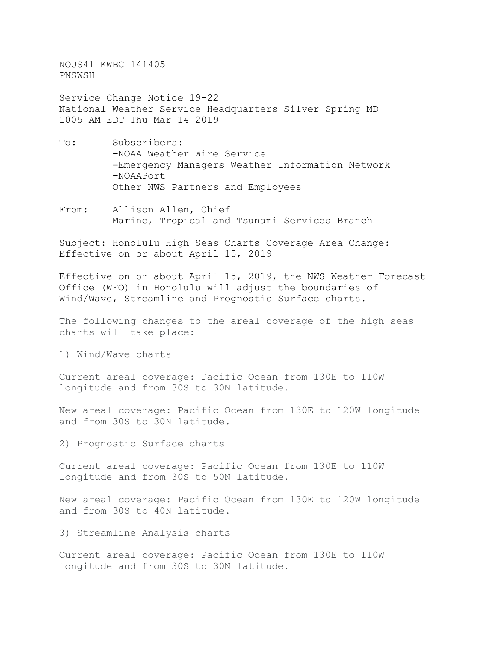NOUS41 KWBC 141405 PNSWSH

Service Change Notice 19-22 National Weather Service Headquarters Silver Spring MD 1005 AM EDT Thu Mar 14 2019

- To: Subscribers: -NOAA Weather Wire Service -Emergency Managers Weather Information Network -NOAAPort Other NWS Partners and Employees
- From: Allison Allen, Chief Marine, Tropical and Tsunami Services Branch

Subject: Honolulu High Seas Charts Coverage Area Change: Effective on or about April 15, 2019

Effective on or about April 15, 2019, the NWS Weather Forecast Office (WFO) in Honolulu will adjust the boundaries of Wind/Wave, Streamline and Prognostic Surface charts.

The following changes to the areal coverage of the high seas charts will take place:

1) Wind/Wave charts

Current areal coverage: Pacific Ocean from 130E to 110W longitude and from 30S to 30N latitude.

New areal coverage: Pacific Ocean from 130E to 120W longitude and from 30S to 30N latitude.

2) Prognostic Surface charts

Current areal coverage: Pacific Ocean from 130E to 110W longitude and from 30S to 50N latitude.

New areal coverage: Pacific Ocean from 130E to 120W longitude and from 30S to 40N latitude.

3) Streamline Analysis charts

Current areal coverage: Pacific Ocean from 130E to 110W longitude and from 30S to 30N latitude.